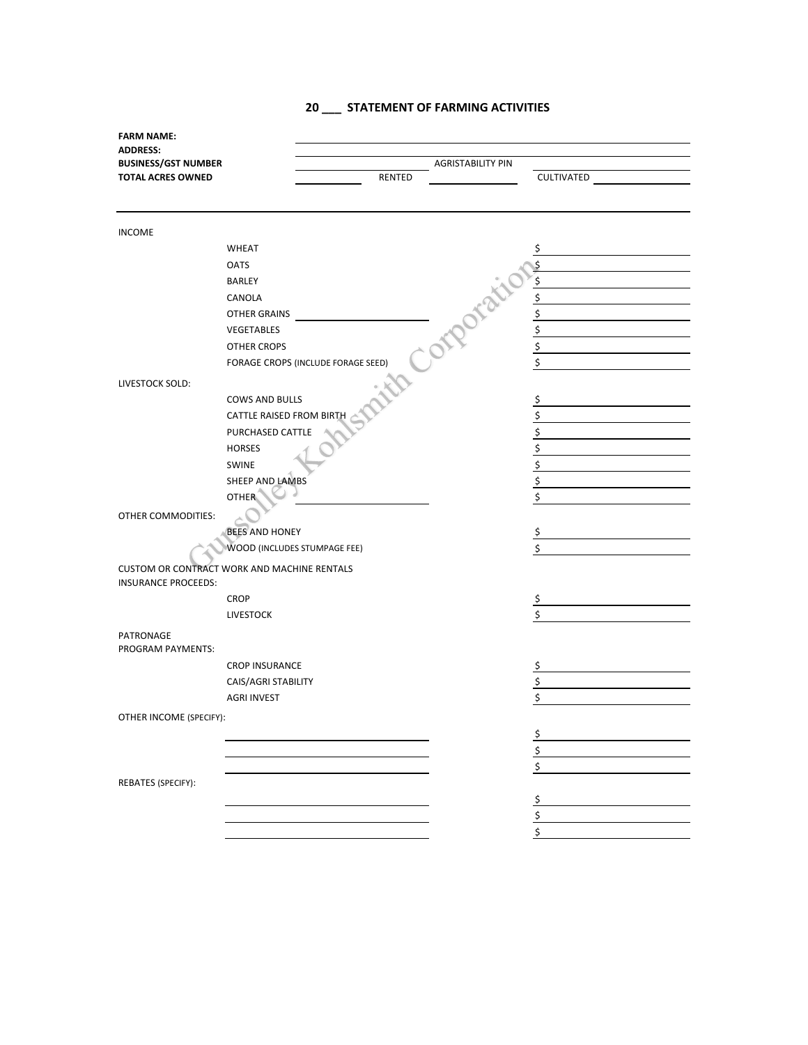## **20 \_\_\_ STATEMENT OF FARMING ACTIVITIES**

| <b>FARM NAME:</b>          |                                                    |                          |               |
|----------------------------|----------------------------------------------------|--------------------------|---------------|
| <b>ADDRESS:</b>            |                                                    |                          |               |
| <b>BUSINESS/GST NUMBER</b> |                                                    | <b>AGRISTABILITY PIN</b> |               |
| <b>TOTAL ACRES OWNED</b>   | <b>RENTED</b>                                      |                          | CULTIVATED    |
|                            |                                                    |                          |               |
| <b>INCOME</b>              |                                                    |                          |               |
|                            | <b>WHEAT</b>                                       |                          | \$            |
|                            | <b>OATS</b>                                        |                          |               |
|                            | <b>BARLEY</b>                                      | orporati                 | \$            |
|                            | CANOLA                                             |                          | \$            |
|                            | <b>OTHER GRAINS</b>                                |                          | \$            |
|                            | VEGETABLES                                         |                          | \$            |
|                            | OTHER CROPS                                        |                          | \$            |
|                            | FORAGE CROPS (INCLUDE FORAGE SEED)                 |                          | \$            |
|                            |                                                    |                          |               |
| LIVESTOCK SOLD:            |                                                    |                          |               |
|                            | <b>COWS AND BULLS</b>                              |                          | \$            |
|                            | CATTLE RAISED FROM BIRTH                           |                          | \$            |
|                            | PURCHASED CATTLE                                   |                          | \$            |
|                            | <b>HORSES</b>                                      |                          | \$            |
|                            | <b>SWINE</b>                                       |                          | \$            |
|                            | SHEEP AND LAMBS                                    |                          | \$            |
|                            | <b>OTHER</b>                                       |                          | \$            |
| OTHER COMMODITIES:         |                                                    |                          |               |
|                            | <b>BEES AND HONEY</b>                              |                          | \$            |
|                            | WOOD (INCLUDES STUMPAGE FEE)                       |                          | \$            |
|                            | <b>CUSTOM OR CONTRACT WORK AND MACHINE RENTALS</b> |                          |               |
| <b>INSURANCE PROCEEDS:</b> |                                                    |                          |               |
|                            | <b>CROP</b>                                        |                          | $\frac{1}{2}$ |
|                            | <b>LIVESTOCK</b>                                   |                          | \$            |
| PATRONAGE                  |                                                    |                          |               |
| PROGRAM PAYMENTS:          |                                                    |                          |               |
|                            | <b>CROP INSURANCE</b>                              |                          | \$            |
|                            | CAIS/AGRI STABILITY                                |                          | \$            |
|                            | <b>AGRI INVEST</b>                                 |                          | \$            |
| OTHER INCOME (SPECIFY):    |                                                    |                          |               |
|                            |                                                    |                          |               |
|                            |                                                    |                          | \$<br>\$      |
|                            |                                                    |                          | \$            |
| REBATES (SPECIFY):         |                                                    |                          |               |
|                            |                                                    |                          |               |
|                            |                                                    |                          | \$            |
|                            |                                                    |                          | \$            |
|                            |                                                    |                          | \$            |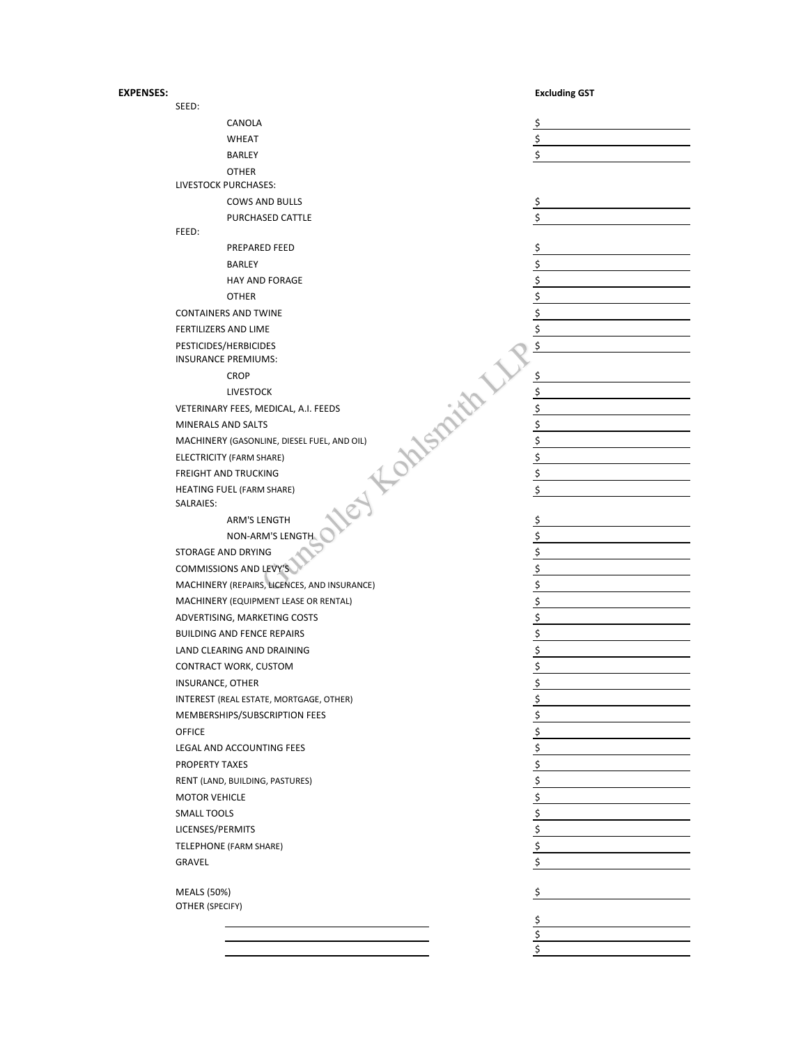## **EXPENSES: Excluding GST**

| SEED:                                               |                                              |                                                                                                    |
|-----------------------------------------------------|----------------------------------------------|----------------------------------------------------------------------------------------------------|
|                                                     | CANOLA                                       | \$                                                                                                 |
|                                                     | <b>WHEAT</b>                                 | \$                                                                                                 |
|                                                     | <b>BARLEY</b>                                | \$                                                                                                 |
|                                                     | <b>OTHER</b>                                 |                                                                                                    |
|                                                     | LIVESTOCK PURCHASES:                         |                                                                                                    |
|                                                     | <b>COWS AND BULLS</b>                        | \$                                                                                                 |
|                                                     | PURCHASED CATTLE                             | Ś                                                                                                  |
| FEED:                                               |                                              |                                                                                                    |
|                                                     | PREPARED FEED                                | \$                                                                                                 |
|                                                     | <b>BARLEY</b>                                | \$                                                                                                 |
|                                                     | <b>HAY AND FORAGE</b>                        | $\frac{1}{2}$                                                                                      |
|                                                     | <b>OTHER</b>                                 |                                                                                                    |
|                                                     | <b>CONTAINERS AND TWINE</b>                  | $\frac{5}{5}$                                                                                      |
|                                                     | <b>FERTILIZERS AND LIME</b>                  | \$                                                                                                 |
|                                                     | PESTICIDES/HERBICIDES                        | \$                                                                                                 |
|                                                     | <b>INSURANCE PREMIUMS:</b>                   |                                                                                                    |
|                                                     | <b>CROP</b>                                  | \$                                                                                                 |
|                                                     | <b>LIVESTOCK</b>                             |                                                                                                    |
|                                                     | VETERINARY FEES, MEDICAL, A.I. FEEDS         | \$                                                                                                 |
| MINERALS AND SALTS                                  |                                              | \$                                                                                                 |
|                                                     | MACHINERY (GASONLINE, DIESEL FUEL, AND OIL)  | \$                                                                                                 |
|                                                     | Kontspirits                                  | \$                                                                                                 |
|                                                     | ELECTRICITY (FARM SHARE)                     |                                                                                                    |
|                                                     | <b>FREIGHT AND TRUCKING</b>                  | \$                                                                                                 |
| SALRAIES:                                           | <b>HEATING FUEL (FARM SHARE)</b>             | \$                                                                                                 |
|                                                     | <b>ARM'S LENGTH</b>                          | \$                                                                                                 |
|                                                     | NON-ARM'S LENGTH                             | \$                                                                                                 |
|                                                     | STORAGE AND DRYING                           | \$                                                                                                 |
|                                                     | <b>COMMISSIONS AND LEVY'S</b>                |                                                                                                    |
|                                                     | MACHINERY (REPAIRS, LICENCES, AND INSURANCE) | $\frac{1}{2}$<br>$\frac{1}{2}$<br>$\frac{1}{2}$<br>$\frac{1}{2}$<br>$\frac{1}{2}$<br>$\frac{1}{2}$ |
|                                                     | MACHINERY (EQUIPMENT LEASE OR RENTAL)        |                                                                                                    |
|                                                     | ADVERTISING, MARKETING COSTS                 |                                                                                                    |
|                                                     | <b>BUILDING AND FENCE REPAIRS</b>            |                                                                                                    |
|                                                     |                                              |                                                                                                    |
| LAND CLEARING AND DRAINING<br>CONTRACT WORK, CUSTOM |                                              |                                                                                                    |
|                                                     |                                              | $rac{5}{5}$                                                                                        |
| INSURANCE, OTHER                                    |                                              |                                                                                                    |
|                                                     | INTEREST (REAL ESTATE, MORTGAGE, OTHER)      | \$                                                                                                 |
|                                                     | MEMBERSHIPS/SUBSCRIPTION FEES                | \$                                                                                                 |
| <b>OFFICE</b>                                       |                                              | \$                                                                                                 |
|                                                     | LEGAL AND ACCOUNTING FEES                    | $\frac{1}{2}$                                                                                      |
| PROPERTY TAXES                                      |                                              | \$                                                                                                 |
|                                                     | RENT (LAND, BUILDING, PASTURES)              | \$                                                                                                 |
| <b>MOTOR VEHICLE</b>                                |                                              | \$                                                                                                 |
| <b>SMALL TOOLS</b>                                  |                                              | \$                                                                                                 |
| LICENSES/PERMITS                                    |                                              | \$                                                                                                 |
|                                                     | TELEPHONE (FARM SHARE)                       | \$                                                                                                 |
| GRAVEL                                              |                                              | \$                                                                                                 |
|                                                     |                                              |                                                                                                    |
| <b>MEALS (50%)</b><br>OTHER (SPECIFY)               |                                              | \$                                                                                                 |
|                                                     |                                              | \$                                                                                                 |
|                                                     |                                              | \$                                                                                                 |
|                                                     |                                              | \$                                                                                                 |
|                                                     |                                              |                                                                                                    |